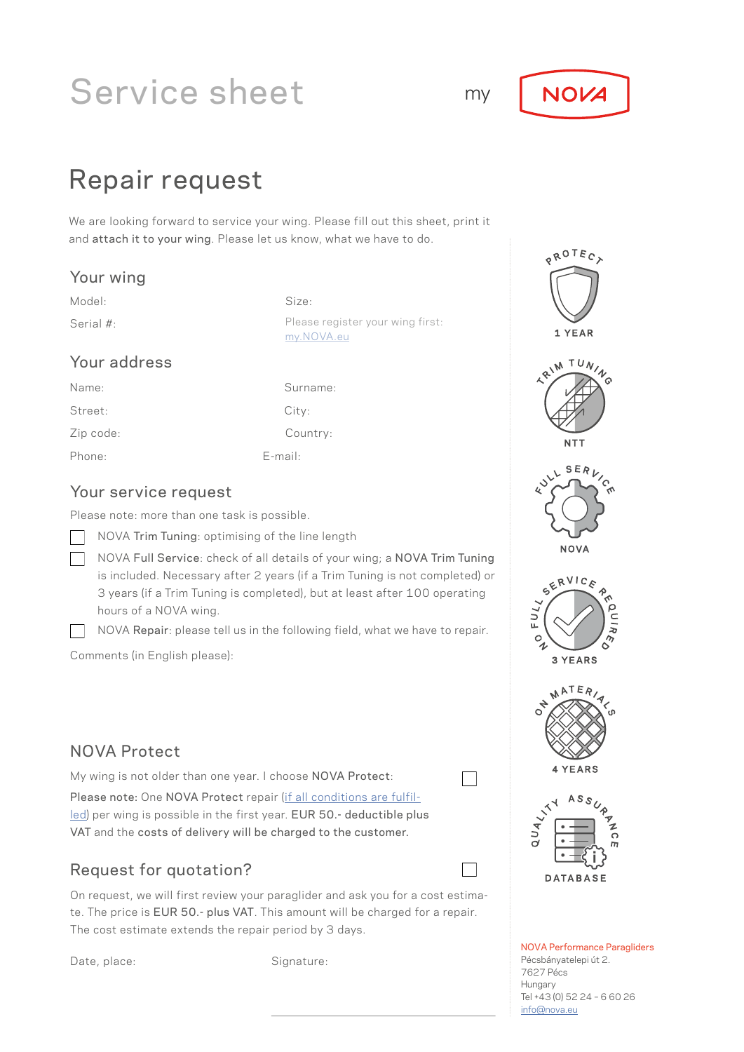# Service sheet



## Repair request

We are looking forward to service your wing. Please fill out this sheet, print it and attach it to your wing. Please let us know, what we have to do.

#### Your wing

Model: Size:

Serial #: Serial #: Please register your wing first: [my.NOVA.eu](http://my.NOVA.eu)

### Your address

Zip code: Street: Name: Phone: E-mail:

City: Surname: Country:

### Your service request

Please note: more than one task is possible.

NOVA Trim Tuning: optimising of the line length

NOVA Full Service: check of all details of your wing; a NOVA Trim Tuning is included. Necessary after 2 years (if a Trim Tuning is not completed) or 3 years (if a Trim Tuning is completed), but at least after 100 operating hours of a NOVA wing.

NOVA Repair: please tell us in the following field, what we have to repair.

Comments (in English please):

### NOVA Protect

My wing is not older than one year. I choose NOVA Protect:

 $\Box$ 

Please note: One NOVA Protect repair ([if all conditions are fulfil](https://www.nova.eu/en/guarantee-conditions/)[led](https://www.nova.eu/en/guarantee-conditions/)) per wing is possible in the first year. EUR 50.- deductible plus VAT and the costs of delivery will be charged to the customer.

## Request for quotation?

On request, we will first review your paraglider and ask you for a cost estimate. The price is EUR 50.- plus VAT. This amount will be charged for a repair. The cost estimate extends the repair period by 3 days.

Date, place: Signature:



NOVA Performance Paragliders Pécsbányatelepi út 2. 7627 Pécs Hungary Tel +43 (0) 52 24 – 6 60 26 [info@nova.eu](mailto:info%40nova.eu?subject=)